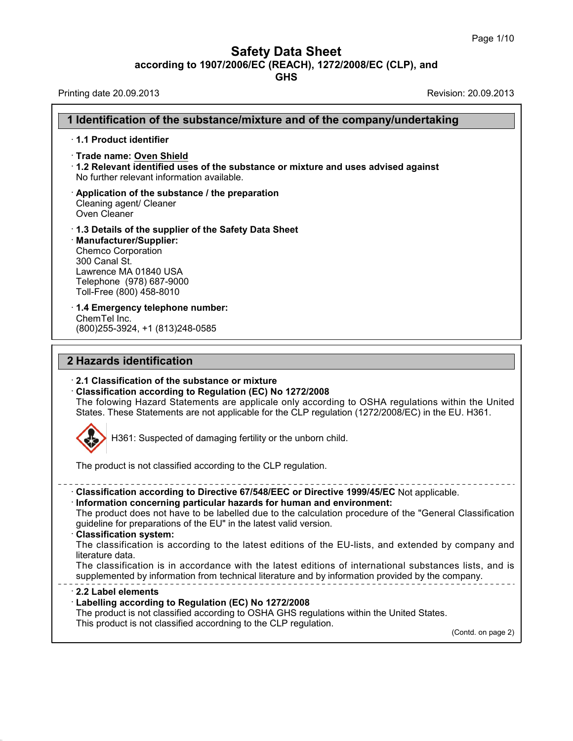## **Safety Data Sheet**

**according to 1907/2006/EC (REACH), 1272/2008/EC (CLP),and**

**GHS**

Printing date 20.09.2013 **Revision: 20.09.2013** 

37.1.8

| 1 Identification of the substance/mixture and of the company/undertaking                                                                                                                                                                                                                                                                                                                 |  |
|------------------------------------------------------------------------------------------------------------------------------------------------------------------------------------------------------------------------------------------------------------------------------------------------------------------------------------------------------------------------------------------|--|
| 1.1 Product identifier                                                                                                                                                                                                                                                                                                                                                                   |  |
| · Trade name: Oven Shield<br>1.2 Relevant identified uses of the substance or mixture and uses advised against<br>No further relevant information available.                                                                                                                                                                                                                             |  |
| $\cdot$ Application of the substance / the preparation<br>Cleaning agent/ Cleaner<br>Oven Cleaner                                                                                                                                                                                                                                                                                        |  |
| 1.3 Details of the supplier of the Safety Data Sheet<br>· Manufacturer/Supplier:<br><b>Chemco Corporation</b><br>300 Canal St.<br>Lawrence MA 01840 USA<br>Telephone (978) 687-9000<br>Toll-Free (800) 458-8010                                                                                                                                                                          |  |
| 1.4 Emergency telephone number:<br>ChemTel Inc.<br>(800) 255-3924, +1 (813) 248-0585                                                                                                                                                                                                                                                                                                     |  |
| 2 Hazards identification                                                                                                                                                                                                                                                                                                                                                                 |  |
| 2.1 Classification of the substance or mixture<br>Classification according to Regulation (EC) No 1272/2008<br>The folowing Hazard Statements are applicale only according to OSHA regulations within the United<br>States. These Statements are not applicable for the CLP regulation (1272/2008/EC) in the EU. H361.                                                                    |  |
| H361: Suspected of damaging fertility or the unborn child.                                                                                                                                                                                                                                                                                                                               |  |
| The product is not classified according to the CLP regulation.                                                                                                                                                                                                                                                                                                                           |  |
| · Classification according to Directive 67/548/EEC or Directive 1999/45/EC Not applicable.<br>· Information concerning particular hazards for human and environment:<br>The product does not have to be labelled due to the calculation procedure of the "General Classification"<br>guideline for preparations of the EU" in the latest valid version.<br><b>Classification system:</b> |  |
| The classification is according to the latest editions of the EU-lists, and extended by company and<br>literature data.                                                                                                                                                                                                                                                                  |  |
| The classification is in accordance with the latest editions of international substances lists, and is<br>supplemented by information from technical literature and by information provided by the company.                                                                                                                                                                              |  |
| 2.2 Label elements<br>Labelling according to Regulation (EC) No 1272/2008<br>The product is not classified according to OSHA GHS regulations within the United States.<br>This product is not classified accordning to the CLP regulation.                                                                                                                                               |  |
| (Contd. on page 2)                                                                                                                                                                                                                                                                                                                                                                       |  |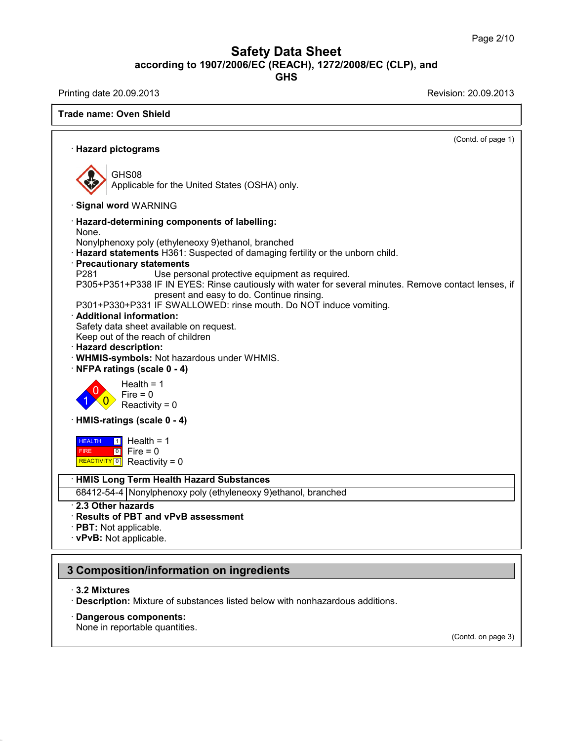**GHS**

Printing date 20.09.2013 Revision: 20.09.2013

|                                                                                                                | (Contd. of page 1) |
|----------------------------------------------------------------------------------------------------------------|--------------------|
| · Hazard pictograms                                                                                            |                    |
| GHS08                                                                                                          |                    |
| Applicable for the United States (OSHA) only.                                                                  |                    |
| · Signal word WARNING                                                                                          |                    |
| <b>Hazard-determining components of labelling:</b><br>None.                                                    |                    |
| Nonylphenoxy poly (ethyleneoxy 9) ethanol, branched                                                            |                    |
| Hazard statements H361: Suspected of damaging fertility or the unborn child.                                   |                    |
| <b>Precautionary statements</b>                                                                                |                    |
| P281<br>Use personal protective equipment as required.                                                         |                    |
| P305+P351+P338 IF IN EYES: Rinse cautiously with water for several minutes. Remove contact lenses, if          |                    |
| present and easy to do. Continue rinsing.<br>P301+P330+P331 IF SWALLOWED: rinse mouth. Do NOT induce vomiting. |                    |
| · Additional information:                                                                                      |                    |
| Safety data sheet available on request.                                                                        |                    |
| Keep out of the reach of children                                                                              |                    |
| <b>Hazard description:</b>                                                                                     |                    |
| WHMIS-symbols: Not hazardous under WHMIS.                                                                      |                    |
| NFPA ratings (scale 0 - 4)                                                                                     |                    |
| Health = $1$                                                                                                   |                    |
| $Fire = 0$                                                                                                     |                    |
| Reactivity = $0$                                                                                               |                    |
| HMIS-ratings (scale 0 - 4)                                                                                     |                    |
| $\boxed{1}$ Health = 1<br><b>HEALTH</b>                                                                        |                    |
| $\begin{bmatrix} 0 \\ 0 \end{bmatrix}$ Fire = 0<br><b>FIRE</b>                                                 |                    |
| REACTIVITY 0 Reactivity = 0                                                                                    |                    |
| <b>HMIS Long Term Health Hazard Substances</b>                                                                 |                    |
| 68412-54-4 Nonylphenoxy poly (ethyleneoxy 9) ethanol, branched                                                 |                    |
| 2.3 Other hazards                                                                                              |                    |
| Results of PBT and vPvB assessment                                                                             |                    |
| $\cdot$ PBT: Not applicable.                                                                                   |                    |
| · vPvB: Not applicable.                                                                                        |                    |

· **3.2 Mixtures**

37.1.8

· **Description:** Mixture of substances listed below with nonhazardous additions.

· **Dangerous components:**

None in reportable quantities.

(Contd. on page 3)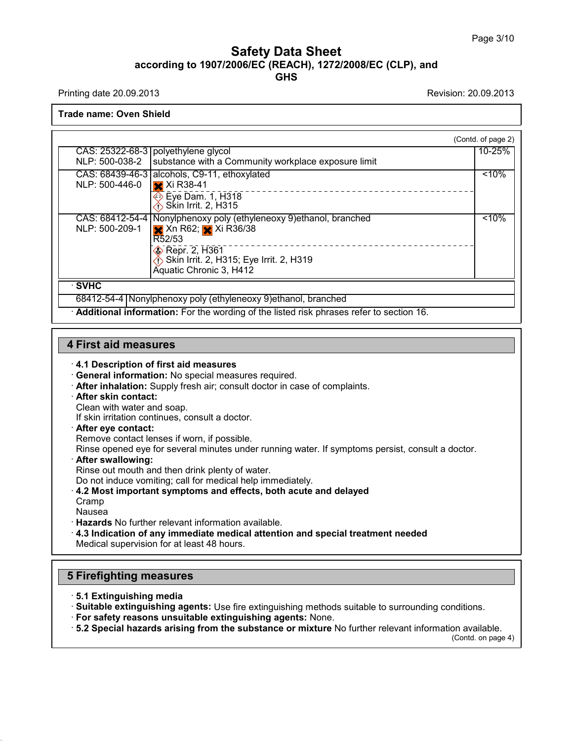Printing date 20.09.2013 **Printing date 20.09.2013** 

**Trade name: Oven Shield**

|                         |                                                                                         | (Contd. of page 2) |
|-------------------------|-----------------------------------------------------------------------------------------|--------------------|
|                         | CAS: 25322-68-3 polyethylene glycol                                                     | 10-25%             |
| NLP: 500-038-2          | substance with a Community workplace exposure limit                                     |                    |
|                         | CAS: 68439-46-3 alcohols, C9-11, ethoxylated                                            | < 10%              |
| NLP: 500-446-0          | $x$ Xi R38-41                                                                           |                    |
|                         | <b>Eye Dam. 1, H318</b>                                                                 |                    |
|                         | <b><i>i</i></b> Skin Irrit. 2, H315                                                     |                    |
|                         | CAS: 68412-54-4   Nonylphenoxy poly (ethyleneoxy 9) ethanol, branched                   | < 10%              |
| NLP: 500-209-1          | <b>X</b> Xn R62; Xi R36/38                                                              |                    |
|                         | R52/53                                                                                  |                    |
|                         | <b>&amp;</b> Repr. 2, H361                                                              |                    |
|                         | Skin Irrit. 2, H315; Eye Irrit. 2, H319                                                 |                    |
|                         | Aquatic Chronic 3, H412                                                                 |                    |
| $\overline{\cdot}$ SVHC |                                                                                         |                    |
|                         | 68412-54-4 Nonylphenoxy poly (ethyleneoxy 9) ethanol, branched                          |                    |
|                         | Additional information: For the wording of the listed risk phrases refer to section 16. |                    |

## **4 First aid measures**

#### · **4.1 Description of first aid measures**

· **General information:** No special measures required.

- · **After inhalation:** Supply fresh air; consult doctor in case of complaints.
- · **After skin contact:**

Clean with water and soap.

If skin irritation continues, consult a doctor.

#### · **After eye contact:**

Remove contact lenses if worn, if possible.

Rinse opened eye for several minutes under running water. If symptoms persist, consult a doctor.

#### · **After swallowing:**

Rinse out mouth and then drink plenty of water.

Do not induce vomiting; call for medical help immediately.

## · **4.2 Most important symptoms and effects, both acute and delayed**

Cramp Nausea

37.1.8

· **Hazards** No further relevant information available.

· **4.3 Indication of any immediate medical attention and special treatment needed** Medical supervision for at least 48 hours.

## **5 Firefighting measures**

· **5.1 Extinguishing media**

· **Suitable extinguishing agents:** Use fire extinguishing methods suitable to surrounding conditions.

· **For safety reasons unsuitable extinguishing agents:** None.

· **5.2 Special hazards arising from the substance ormixture** No further relevant information available.

(Contd. on page 4)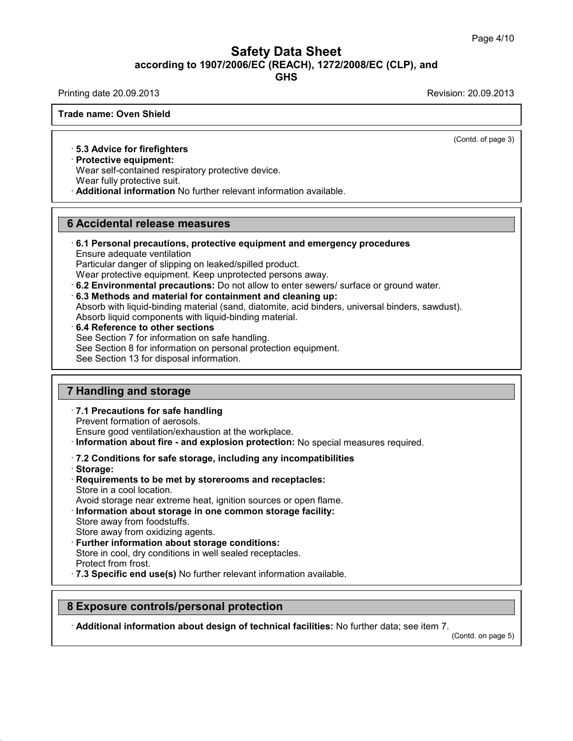**GHS**

Printing date 20.09.2013 **Printing date 20.09.2013** 

**Trade name: Oven Shield**

(Contd. of page 3)

### · **5.3 Advice for firefighters**

· **Protective equipment:**

Wear self-contained respiratory protective device.

Wear fully protective suit.

· **Additional information** No further relevant information available.

### **6 Accidental release measures**

· **6.1 Personal precautions, protective equipment and emergency procedures** Ensure adequate ventilation

Particular danger of slipping on leaked/spilled product.

Wear protective equipment. Keep unprotected persons away.

· **6.2 Environmental precautions:** Do not allow to enter sewers/ surface or ground water.

· **6.3 Methods and material for containment and cleaning up:** Absorb with liquid-binding material (sand, diatomite, acid binders, universal binders, sawdust). Absorb liquid components with liquid-binding material.

· **6.4 Reference to other sections**

See Section 7 for information on safe handling.

See Section 8 for information on personal protection equipment.

See Section 13 for disposal information.

### **7 Handling and storage**

· **7.1 Precautions for safe handling**

Prevent formation of aerosols.

Ensure good ventilation/exhaustion at the workplace.

· **Information about fire - and explosion protection:** No special measures required.

#### · **7.2 Conditions for safe storage, including any incompatibilities**

· **Storage:**

37.1.8

· **Requirements to be met by storerooms and receptacles:** Store in a cool location.

Avoid storage near extreme heat, ignition sources or open flame.

- · **Information about storage in one common storage facility:** Store away from foodstuffs.
- Store away from oxidizing agents.
- · **Further information about storage conditions:** Store in cool, dry conditions in well sealed receptacles. Protect from frost.
- · **7.3 Specific end use(s)** No further relevant information available.

### **8 Exposure controls/personal protection**

· **Additional information about design of technical facilities:** No further data; see item 7.

(Contd. on page 5)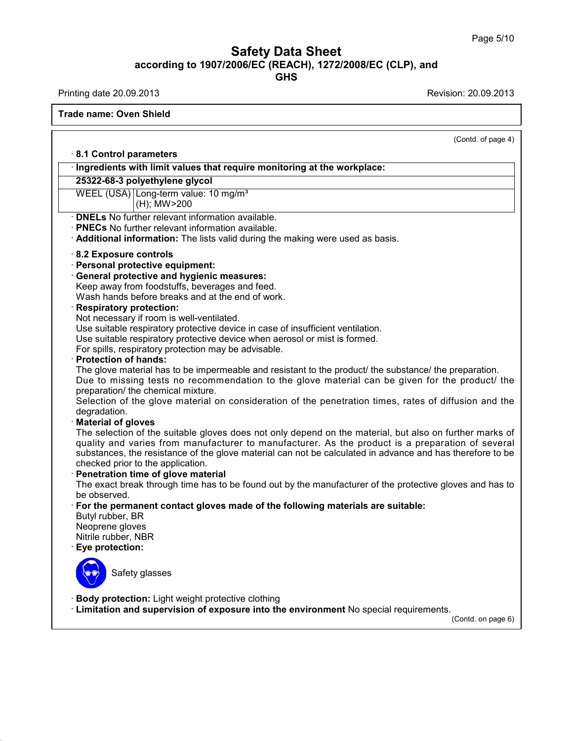**GHS**

Printing date 20.09.2013 **Printing date 20.09.2013** 

37.1.8

**Trade name: Oven Shield**

(Contd. of page 4) · **8.1 Control parameters** · **Ingredients with limit values that require monitoring at the workplace: 25322-68-3 polyethylene glycol** WEEL (USA) Long-term value: 10 mg/m<sup>3</sup> (H); MW>200 · **DNELs** No further relevant information available. · **PNECs** No further relevant information available. · **Additional information:** The lists valid during the making were used as basis. · **8.2 Exposure controls** · **Personal protective equipment:** · **General protective and hygienic measures:** Keep away from foodstuffs, beverages and feed. Wash hands before breaks and at the end of work. · **Respiratory protection:** Not necessary if room is well-ventilated. Use suitable respiratory protective device in case of insufficient ventilation. Use suitable respiratory protective device when aerosol or mist is formed. For spills, respiratory protection may be advisable. · **Protection of hands:** The glove material has to be impermeable and resistant to the product/ the substance/ the preparation. Due to missing tests no recommendation to the glove material can be given for the product/ the preparation/ the chemical mixture. Selection of the glove material on consideration of the penetration times, rates of diffusion and the degradation. · **Material of gloves** The selection of the suitable gloves does not only depend on the material, but also on further marks of quality and varies from manufacturer to manufacturer. As the product is a preparation of several substances, the resistance of the glove material can not be calculated in advance and has therefore to be checked prior to the application. · **Penetration time of glove material** The exact break through time has to be found out by the manufacturer of the protective gloves and has to be observed. · **For the permanent contact gloves made of the following materials are suitable:** Butyl rubber, BR Neoprene gloves Nitrile rubber, NBR · **Eye protection:** Safety glasses · **Body protection:** Light weight protective clothing · **Limitation and supervision of exposure into the environment** No special requirements. (Contd. on page 6)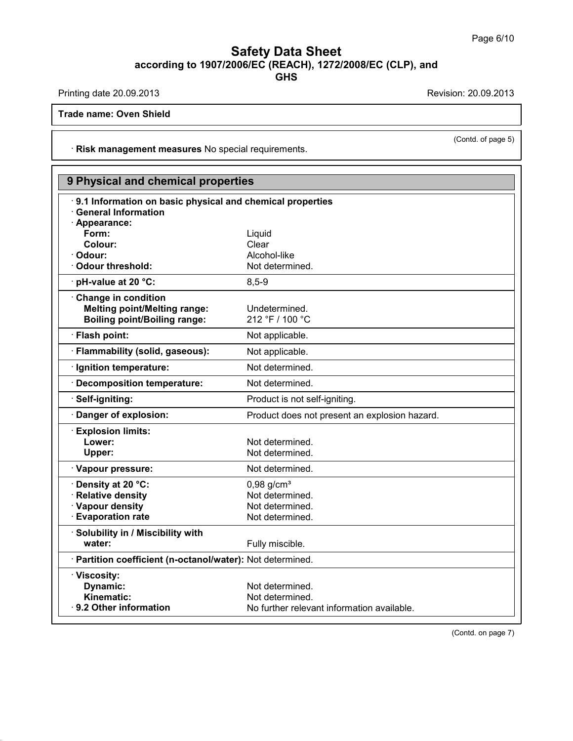**GHS**

Printing date 20.09.2013 **Revision: 20.09.2013** 

37.1.8

**Trade name: Oven Shield**

· **Risk management measures** No special requirements.

| 9 Physical and chemical properties                                                      |                                               |  |  |  |
|-----------------------------------------------------------------------------------------|-----------------------------------------------|--|--|--|
| 9.1 Information on basic physical and chemical properties<br><b>General Information</b> |                                               |  |  |  |
| · Appearance:<br>Form:                                                                  |                                               |  |  |  |
| Colour:                                                                                 | Liquid<br>Clear                               |  |  |  |
| Odour:                                                                                  | Alcohol-like                                  |  |  |  |
| Odour threshold:                                                                        | Not determined.                               |  |  |  |
| pH-value at 20 °C:                                                                      | $8,5 - 9$                                     |  |  |  |
| Change in condition                                                                     |                                               |  |  |  |
| <b>Melting point/Melting range:</b>                                                     | Undetermined.                                 |  |  |  |
| <b>Boiling point/Boiling range:</b>                                                     | 212 °F / 100 °C                               |  |  |  |
| · Flash point:                                                                          | Not applicable.                               |  |  |  |
| <b>Flammability (solid, gaseous):</b>                                                   | Not applicable.                               |  |  |  |
| · Ignition temperature:                                                                 | Not determined.                               |  |  |  |
| · Decomposition temperature:                                                            | Not determined.                               |  |  |  |
| Self-igniting:                                                                          | Product is not self-igniting.                 |  |  |  |
| Danger of explosion:                                                                    | Product does not present an explosion hazard. |  |  |  |
| <b>Explosion limits:</b>                                                                |                                               |  |  |  |
| Lower:                                                                                  | Not determined.                               |  |  |  |
| Upper:                                                                                  | Not determined.                               |  |  |  |
| · Vapour pressure:                                                                      | Not determined.                               |  |  |  |
| Density at 20 °C:                                                                       | $0,98$ g/cm <sup>3</sup>                      |  |  |  |
| <b>Relative density</b>                                                                 | Not determined.                               |  |  |  |
| · Vapour density                                                                        | Not determined.                               |  |  |  |
| <b>Evaporation rate</b>                                                                 | Not determined.                               |  |  |  |
| Solubility in / Miscibility with                                                        |                                               |  |  |  |
| water:                                                                                  | Fully miscible.                               |  |  |  |
| · Partition coefficient (n-octanol/water): Not determined.                              |                                               |  |  |  |
| · Viscosity:                                                                            |                                               |  |  |  |
| Dynamic:                                                                                | Not determined.                               |  |  |  |
| <b>Kinematic:</b>                                                                       | Not determined.                               |  |  |  |
| $\cdot$ 9.2 Other information                                                           | No further relevant information available.    |  |  |  |

(Contd. on page 7)

(Contd. of page 5)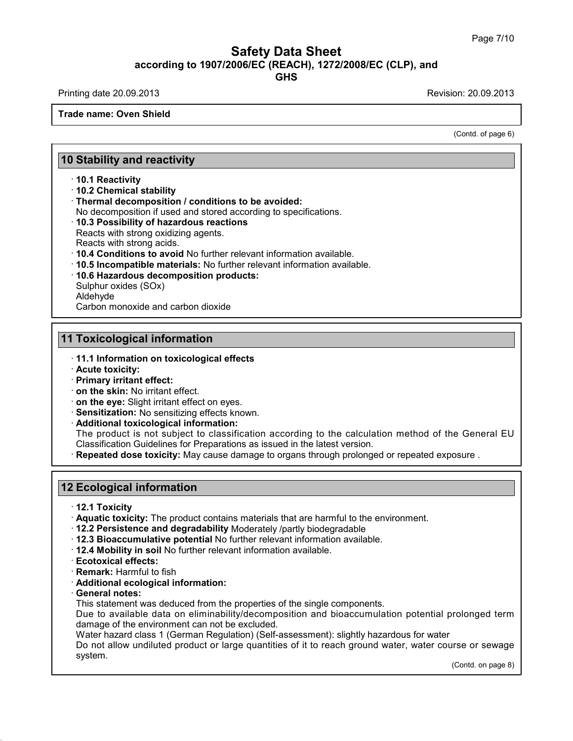Printing date 20.09.2013 **Printing date 20.09.2013** 

**Trade name: Oven Shield**

(Contd. of page 6)

## **10 Stability and reactivity**

### · **10.1 Reactivity**

· **10.2 Chemical stability**

· **Thermal decomposition / conditions to be avoided:**

No decomposition if used and stored according to specifications.

· **10.3 Possibility of hazardous reactions**

Reacts with strong oxidizing agents. Reacts with strong acids.

· **10.4 Conditions to avoid** No further relevant information available.

- · **10.5 Incompatible materials:** No further relevant information available.
- · **10.6 Hazardous decomposition products:**

Sulphur oxides (SOx) Aldehyde

Carbon monoxide and carbon dioxide

## **11 Toxicological information**

- · **11.1 Information on toxicological effects**
- · **Acute toxicity:**
- · **Primary irritant effect:**
- · **on the skin:** No irritant effect.
- · **on the eye:** Slight irritant effect on eyes.
- · **Sensitization:** No sensitizing effects known.
- · **Additional toxicological information:**

The product is not subject to classification according to the calculation method of the General EU Classification Guidelines for Preparations as issued in the latest version.

· **Repeated dose toxicity:** May cause damage to organs through prolonged or repeated exposure .

## **12 Ecological information**

- · **12.1 Toxicity**
- · **Aquatic toxicity:** The product contains materials that are harmful to the environment.
- · **12.2 Persistence and degradability** Moderately /partly biodegradable
- · **12.3 Bioaccumulative potential** No further relevant information available.
- · **12.4 Mobility in soil** No further relevant information available.
- · **Ecotoxical effects:**
- · **Remark:** Harmful to fish
- · **Additional ecological information:**
- · **General notes:**

37.1.8

This statement was deduced from the properties of the single components.

Due to available data on eliminability/decomposition and bioaccumulation potential prolonged term damage of the environment can not be excluded.

Water hazard class 1 (German Regulation) (Self-assessment): slightly hazardous for water

Do not allow undiluted product or large quantities of it to reach ground water, water course or sewage system.

(Contd. on page 8)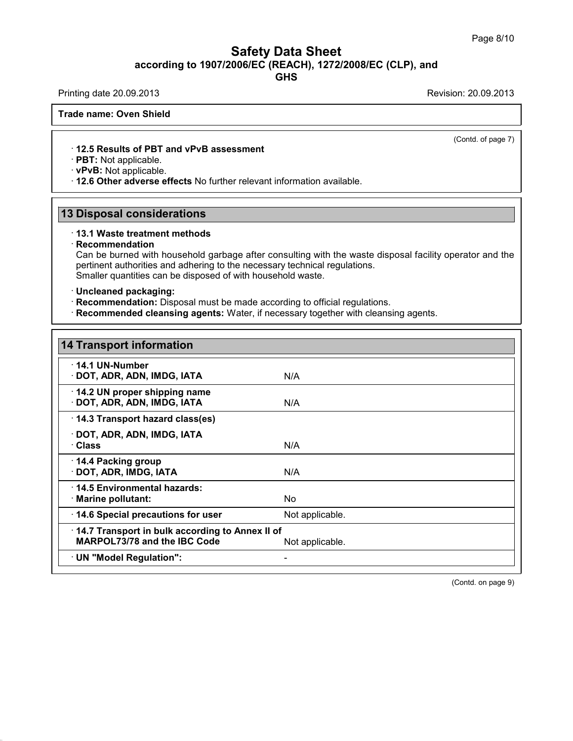**GHS**

Printing date 20.09.2013 **Printing date 20.09.2013** 

**Trade name: Oven Shield**

· **12.5 Results of PBT and vPvB assessment**

· **PBT:** Not applicable.

· **vPvB:** Not applicable.

· **12.6 Other adverse effects** No further relevant information available.

## **13 Disposal considerations**

#### · **13.1 Waste treatment methods**

#### · **Recommendation**

37.1.8

Can be burned with household garbage after consulting with the waste disposal facility operator and the pertinent authorities and adhering to the necessary technical regulations. Smaller quantities can be disposed of with household waste.

#### · **Uncleaned packaging:**

- · **Recommendation:** Disposal must be made according to official regulations.
- · **Recommended cleansing agents:** Water, if necessary together with cleansing agents.

| <b>14 Transport information</b>                                                 |                 |  |
|---------------------------------------------------------------------------------|-----------------|--|
| $\cdot$ 14.1 UN-Number<br>· DOT, ADR, ADN, IMDG, IATA                           | N/A             |  |
| 14.2 UN proper shipping name<br>· DOT, ADR, ADN, IMDG, IATA                     | N/A             |  |
| 14.3 Transport hazard class(es)                                                 |                 |  |
| · DOT, ADR, ADN, IMDG, IATA<br>· Class                                          | N/A             |  |
| $\cdot$ 14.4 Packing group<br>· DOT, ADR, IMDG, IATA                            | N/A             |  |
| 14.5 Environmental hazards:<br>$\cdot$ Marine pollutant:                        | No.             |  |
| 14.6 Special precautions for user                                               | Not applicable. |  |
| 14.7 Transport in bulk according to Annex II of<br>MARPOL73/78 and the IBC Code | Not applicable. |  |
| · UN "Model Regulation":                                                        |                 |  |

(Contd. on page 9)

(Contd. of page 7)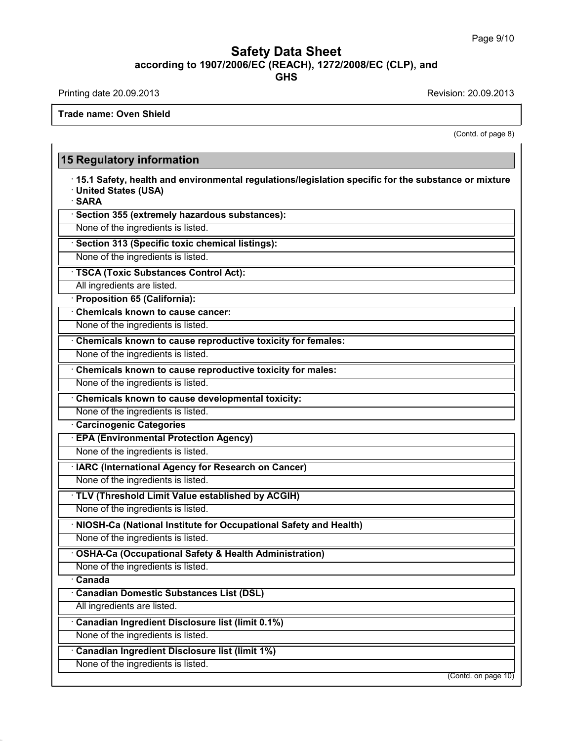Printing date 20.09.2013 **Printing date 20.09.2013** 

37.1.8

**Trade name: Oven Shield**

(Contd. of page 8)

## **15 Regulatory information** · **15.1 Safety, health and environmental regulations/legislation specific for the substance ormixture** · **United States (USA)** · **SARA** · **Section 355 (extremely hazardous substances):** None of the ingredients is listed. · **Section 313 (Specific toxic chemical listings):** None of the ingredients is listed. · **TSCA (Toxic Substances Control Act):** All ingredients are listed. · **Proposition 65 (California):** · **Chemicals known to cause cancer:** None of the ingredients is listed. · **Chemicals known to cause reproductive toxicity for females:** None of the ingredients is listed. · **Chemicals known to cause reproductive toxicity for males:** None of the ingredients is listed. · **Chemicals known to cause developmental toxicity:** None of the ingredients is listed. · **Carcinogenic Categories** · **EPA (Environmental Protection Agency)** None of the ingredients is listed. · **IARC (International Agency for Research on Cancer)** None of the ingredients is listed. · **TLV (Threshold Limit Value established by ACGIH)** None of the ingredients is listed. · **NIOSH-Ca (National Institute for Occupational Safety and Health)** None of the ingredients is listed. · **OSHA-Ca (Occupational Safety & Health Administration)** None of the ingredients is listed. · **Canada** · **Canadian Domestic Substances List (DSL)** All ingredients are listed. · **Canadian Ingredient Disclosure list (limit 0.1%)** None of the ingredients is listed. · **Canadian Ingredient Disclosure list (limit 1%)** None of the ingredients is listed. (Contd. on page 10)